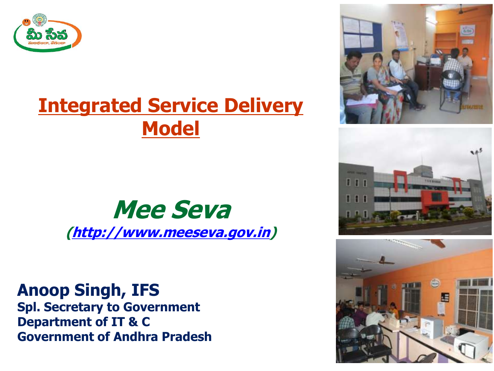

### **Integrated Service Delivery Model**

### **Mee Seva [\(http://www.meeseva.gov.in\)](http://www.meeseva.gov.in/)**

**Anoop Singh, IFS Spl. Secretary to Government Department of IT & C Government of Andhra Pradesh**





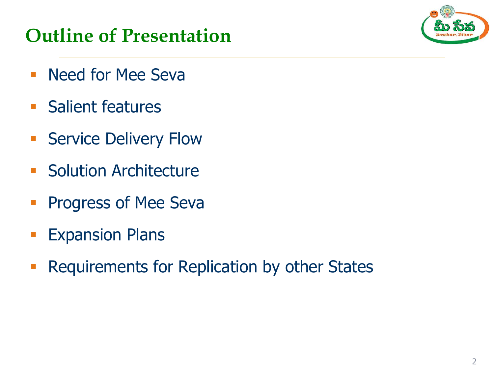### **Outline of Presentation**

- **Need for Mee Seva**
- **Salient features**
- **Service Delivery Flow**
- **Solution Architecture**
- **Progress of Mee Seva**
- **Expansion Plans**
- **Requirements for Replication by other States**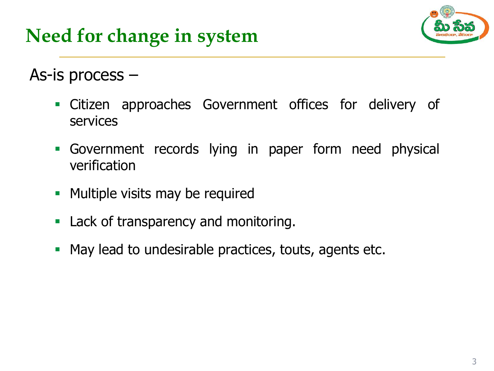

As-is process –

- Citizen approaches Government offices for delivery of services
- Government records lying in paper form need physical verification
- **Multiple visits may be required**
- **Lack of transparency and monitoring.**
- **May lead to undesirable practices, touts, agents etc.**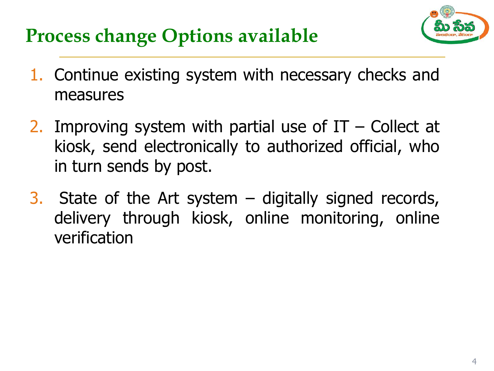

### **Process change Options available**

- 1. Continue existing system with necessary checks and measures
- 2. Improving system with partial use of  $IT -$  Collect at kiosk, send electronically to authorized official, who in turn sends by post.
- 3. State of the Art system digitally signed records, delivery through kiosk, online monitoring, online verification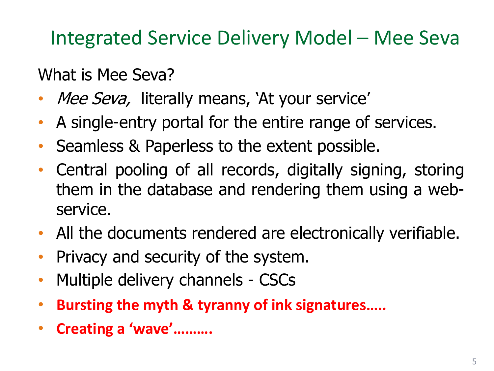Integrated Service Delivery Model – Mee Seva

What is Mee Seva?

- Mee Seva, literally means, 'At your service'
- A single-entry portal for the entire range of services.
- Seamless & Paperless to the extent possible.
- Central pooling of all records, digitally signing, storing them in the database and rendering them using a webservice.
- All the documents rendered are electronically verifiable.
- Privacy and security of the system.
- Multiple delivery channels CSCs
- **Bursting the myth & tyranny of ink signatures…..**
- **Creating a 'wave'……….**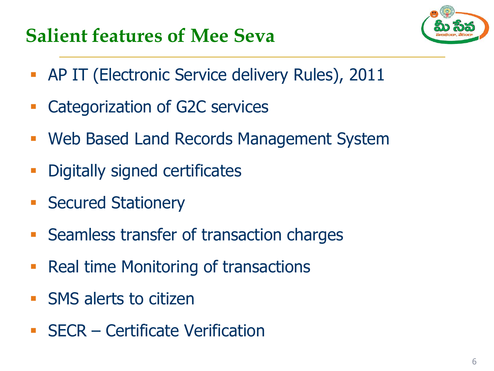### **Salient features of Mee Seva**



- **AP IT (Electronic Service delivery Rules), 2011**
- **Categorization of G2C services**
- Web Based Land Records Management System
- **-** Digitally signed certificates
- **Secured Stationery**
- **Seamless transfer of transaction charges**
- Real time Monitoring of transactions
- **SMS** alerts to citizen
- **SECR Certificate Verification**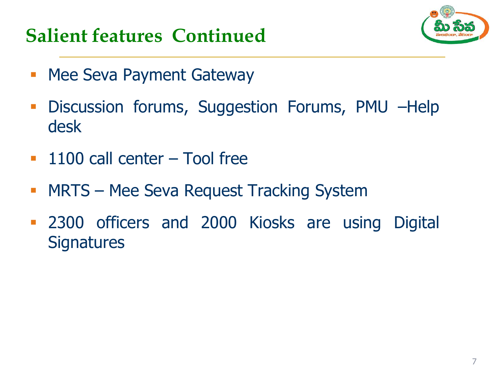### **Salient features Continued**



- **Mee Seva Payment Gateway**
- **Discussion forums, Suggestion Forums, PMU -Help** desk
- **1100 call center Tool free**
- **MRTS Mee Seva Request Tracking System**
- **2300 officers and 2000 Kiosks are using Digital Signatures**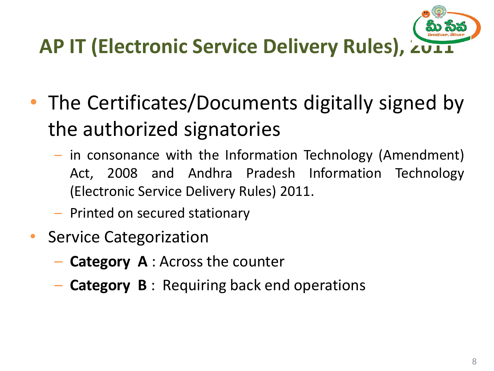# **AP IT (Electronic Service Delivery Rules), 2011**

- The Certificates/Documents digitally signed by the authorized signatories
	- in consonance with the Information Technology (Amendment) Act, 2008 and Andhra Pradesh Information Technology (Electronic Service Delivery Rules) 2011.
	- Printed on secured stationary
- Service Categorization
	- **Category A** : Across the counter
	- **Category B** : Requiring back end operations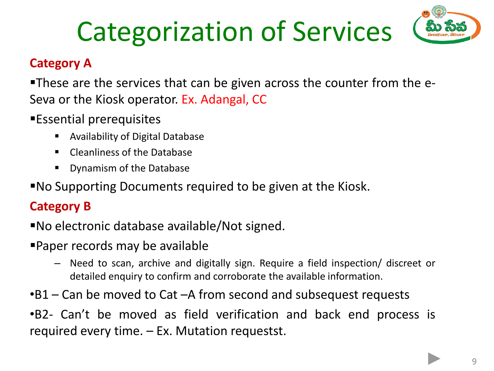## Categorization of Services



#### **Category A**

These are the services that can be given across the counter from the e-Seva or the Kiosk operator. Ex. Adangal, CC

- Essential prerequisites
	- Availability of Digital Database
	- **EXECTE Cleanliness of the Database**
	- **Dynamism of the Database**

No Supporting Documents required to be given at the Kiosk.

#### **Category B**

No electronic database available/Not signed.

- Paper records may be available
	- Need to scan, archive and digitally sign. Require a field inspection/ discreet or detailed enquiry to confirm and corroborate the available information.
- •B1 Can be moved to Cat –A from second and subsequest requests

•B2- Can't be moved as field verification and back end process is required every time. – Ex. Mutation requestst.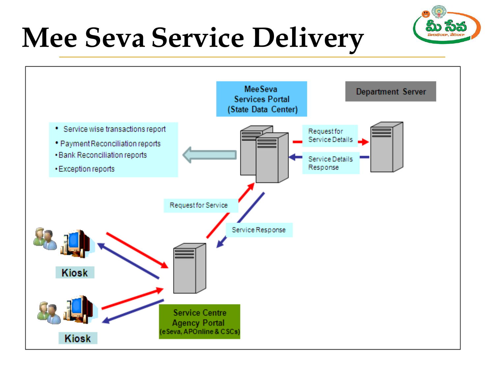## **Mee Seva Service Delivery**



సైన్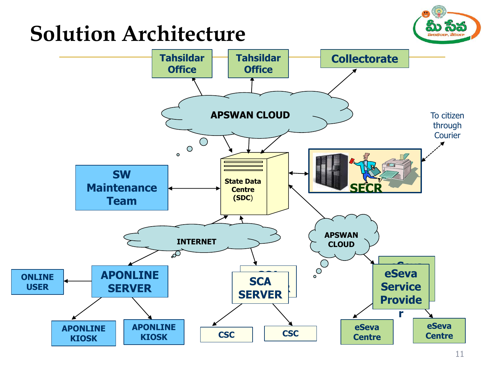### **Solution Architecture**



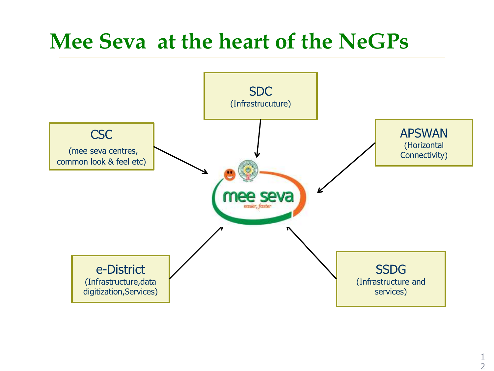### **Mee Seva at the heart of the NeGPs**

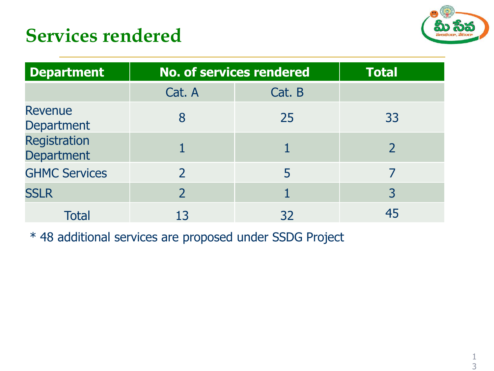### **Services rendered**



| <b>Department</b>                 |               | <b>No. of services rendered</b> |                |  |
|-----------------------------------|---------------|---------------------------------|----------------|--|
|                                   | Cat. A        | Cat. B                          |                |  |
| Revenue<br><b>Department</b>      | 8             | 25                              | 33             |  |
| Registration<br><b>Department</b> |               |                                 |                |  |
| <b>GHMC Services</b>              |               | 5                               |                |  |
| <b>SSLR</b>                       | $\mathcal{P}$ |                                 | $\overline{3}$ |  |
| <b>Total</b>                      | 13            | 32                              |                |  |

<span id="page-12-0"></span>\* 48 additional services are proposed under SSDG Project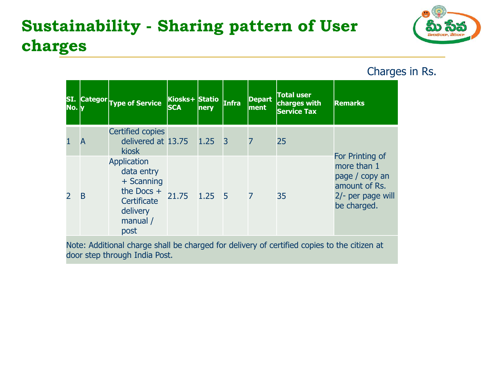### **Sustainability - Sharing pattern of User charges**



Charges in Rs.

| SI.<br>No.     |   | <b>Categor Type of Service</b>                                                                                  | Kiosks+ Statio<br><b>SCA</b> | nery           | Infra          | <b>Depart</b><br>ment | <b>Total user</b><br>charges with<br><b>Service Tax</b> | <b>Remarks</b>                                                                                        |
|----------------|---|-----------------------------------------------------------------------------------------------------------------|------------------------------|----------------|----------------|-----------------------|---------------------------------------------------------|-------------------------------------------------------------------------------------------------------|
| $\mathbf{1}$   | A | Certified copies<br>delivered at $13.75$ 1.25<br><b>kiosk</b>                                                   |                              |                | 3              | 7                     | 25                                                      |                                                                                                       |
| $\overline{2}$ | B | <b>Application</b><br>data entry<br>+ Scanning<br>the Docs $+$<br>Certificate<br>delivery<br>manual $/$<br>post | 21.75                        | $1.25 \quad 5$ | $\overline{7}$ |                       | 35                                                      | For Printing of<br>more than 1<br>page / copy an<br>amount of Rs.<br>2/- per page will<br>be charged. |

Note: Additional charge shall be charged for delivery of certified copies to the citizen at door step through India Post.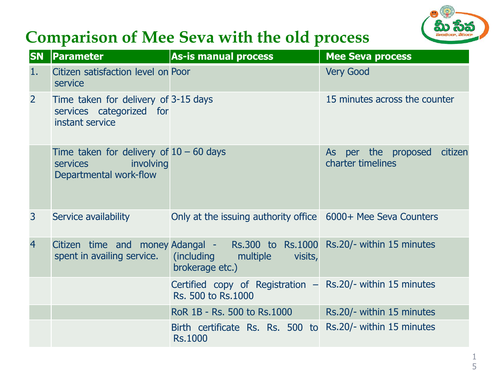

### **Comparison of Mee Seva with the old process**

| <b>SN</b>      | Parameter                                                                                           | <b>As-is manual process</b>                                                                                                       | <b>Mee Seva process</b>                             |
|----------------|-----------------------------------------------------------------------------------------------------|-----------------------------------------------------------------------------------------------------------------------------------|-----------------------------------------------------|
| 1.             | Citizen satisfaction level on Poor<br>service                                                       |                                                                                                                                   | <b>Very Good</b>                                    |
| 2              | Time taken for delivery of 3-15 days<br>services categorized for<br>instant service                 |                                                                                                                                   | 15 minutes across the counter                       |
|                | Time taken for delivery of $10 - 60$ days<br>involving<br><b>services</b><br>Departmental work-flow |                                                                                                                                   | As per the proposed<br>citizen<br>charter timelines |
| 3              | Service availability                                                                                | Only at the issuing authority office 6000+ Mee Seva Counters                                                                      |                                                     |
| $\overline{4}$ | spent in availing service.                                                                          | Citizen time and money Adangal - Rs.300 to Rs.1000 Rs.20/- within 15 minutes<br>(including multiple<br>visits,<br>brokerage etc.) |                                                     |
|                |                                                                                                     | Certified copy of Registration $-$ Rs.20/- within 15 minutes<br>Rs. 500 to Rs. 1000                                               |                                                     |
|                |                                                                                                     | RoR 1B - Rs. 500 to Rs. 1000                                                                                                      | Rs.20/- within 15 minutes                           |
|                |                                                                                                     | Birth certificate Rs. Rs. 500 to Rs.20/- within 15 minutes<br><b>Rs.1000</b>                                                      |                                                     |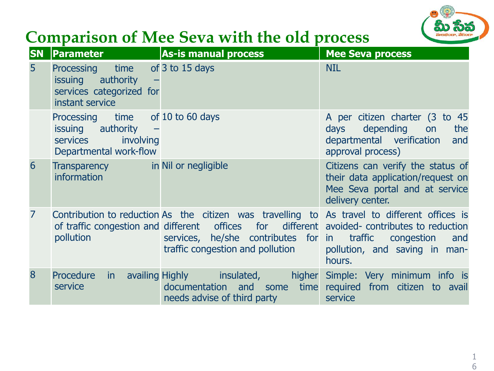

### **Comparison of Mee Seva with the old process**

| <b>SN</b>      | <b>Parameter</b>                                                                                         | <b>As-is manual process</b>                                                                                                                                                                                                                                                              | <b>Mee Seva process</b>                                                                                                      |
|----------------|----------------------------------------------------------------------------------------------------------|------------------------------------------------------------------------------------------------------------------------------------------------------------------------------------------------------------------------------------------------------------------------------------------|------------------------------------------------------------------------------------------------------------------------------|
| $5\phantom{1}$ | Processing time of 3 to 15 days<br>issuing authority<br>services categorized for<br>instant service      |                                                                                                                                                                                                                                                                                          | <b>NIL</b>                                                                                                                   |
|                | Processing time of 10 to 60 days<br>issuing authority<br>involving<br>services<br>Departmental work-flow |                                                                                                                                                                                                                                                                                          | A per citizen charter (3 to 45<br>depending on<br>days<br>the<br>departmental verification<br>and<br>approval process)       |
| 6              | Transparency in Nil or negligible<br>information                                                         |                                                                                                                                                                                                                                                                                          | Citizens can verify the status of<br>their data application/request on<br>Mee Seva portal and at service<br>delivery center. |
| $\overline{7}$ | pollution                                                                                                | Contribution to reduction As the citizen was travelling to As travel to different offices is<br>of traffic congestion and different offices for different avoided-contributes to reduction<br>services, he/she contributes for in traffic congestion<br>traffic congestion and pollution | and<br>pollution, and saving in man-<br>hours.                                                                               |
| 8              | Procedure<br>in.<br>service                                                                              | availing Highly<br>insulated,<br>higher<br>documentation and some time<br>needs advise of third party                                                                                                                                                                                    | Simple: Very minimum info is<br>required from citizen to avail<br>service                                                    |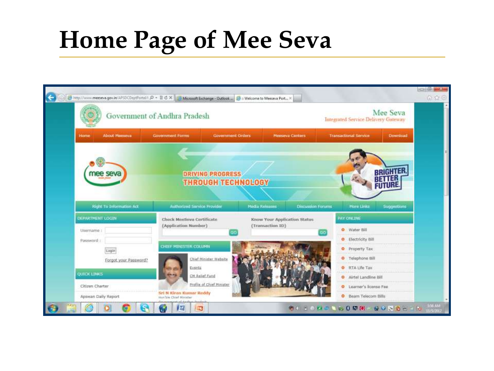### **Home Page of Mee Seva**

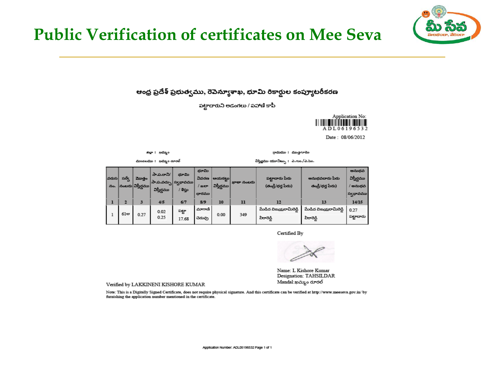

#### **Public Verification of certificates on Mee Seva**

ఆంధ్ర ప్రదేశ్ ప్రభుత్వము, రెవెన్యూశాఖ, భూమి రికార్డుల కంప్యూటరీకరణ

పట్టాదారుని అడంగలు / పహాణి కాపీ



Date: 08/06/2012

పట్టాదారు

జిల్లా : సమ్మం

 $0.25$ 

గ్రామము : ముఞగూడెం

 $\,1$ 

పీరారెడ్డి

మండలము : కామ్మం రూరల్ విస్తిర్ణము యూనిట్సు : ఎ.గుం./ఎ.సెం. భూమి అనుభవ పా.ప.రాని/ భూమి .<br>ಆಯ<mark>ಕ</mark>ಟ್ಟು విస్తీర్ణము |వరుస| సర్వే మొత్తం వివరణ పట్టాదారు పేరు అనుభవదారు పేరు సా.ప.వచ్చు స్వభావము .<br>బాతా నంబరు ∣<sub>నంబరు</sub>∣విస్తీర్ణము విస్తీర్ణము (తండ్రి/భర్త పేరు) తండ్రి/భర్త పేరు) నం.  $1$  as  $e$ / అనుభవ విస్తీర్ణము / శిస్తు దారము స్వభావము  $4/5$  $8/9$  $10$  $12$  $13$  $14/15$  $\bf{l}$  $\overline{\mathbf{z}}$  $\overline{\mathbf{3}}$  $6/7$  $\mathbf{u}$ మేడిద విజయరామిరెడ్డి మేడిద విజయరామిరెడ్డి మాగాణి  $0.27$ పట్టా  $0.02$  $61$ ಆ 0.27

349

 $0.00$ 

చెరువు

17.68

Certified By

పీరారెడ్డి

Name: L Kishore Kumar Designation: TAHSILDAR Mandal:ఖమ్మం రూరల్

Verified by LAKKINENI KISHORE KUMAR

Note: This is a Digitally Signed Certificate, does not require physical signature. And this certificate can be verified at http://www.meeseva.gov.in/ by furnishing the application number mentioned in the certificate.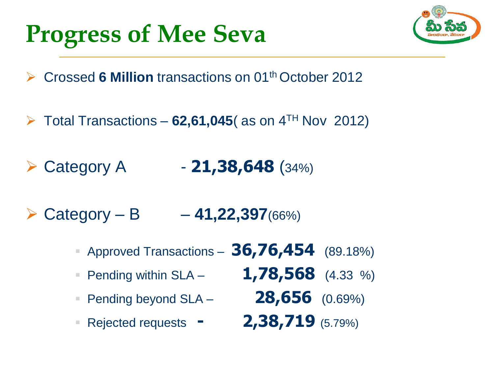### **Progress of Mee Seva**



- **► Crossed 6 Million transactions on 01<sup>th</sup> October 2012**
- $\triangleright$  Total Transactions **62,61,045** (as on  $4<sup>TH</sup>$  Nov 2012)
- $\triangleright$  Category A  $-$  **21,38,648** (34%)
- $\triangleright$  Category B **41,22,397**(66%)
	- Approved Transactions **36,76,454** (89.18%)
	- Pending within SLA **1,78,568** (4.33 %)
	-
	-
- 
- Pending beyond SLA **28,656** (0.69%)
- **Rejected requests 2,38,719** (5.79%)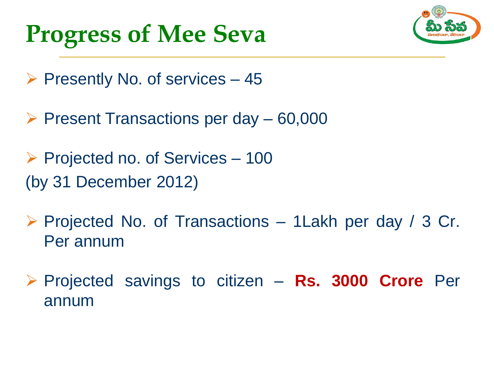### **Progress of Mee Seva**



- $\triangleright$  Presently No. of services 45
- $\triangleright$  Present Transactions per day  $-60,000$
- $\triangleright$  Projected no. of Services 100 (by 31 December 2012)
- $\triangleright$  Projected No. of Transactions 1 Lakh per day / 3 Cr. Per annum
- Projected savings to citizen **Rs. 3000 Crore** Per annum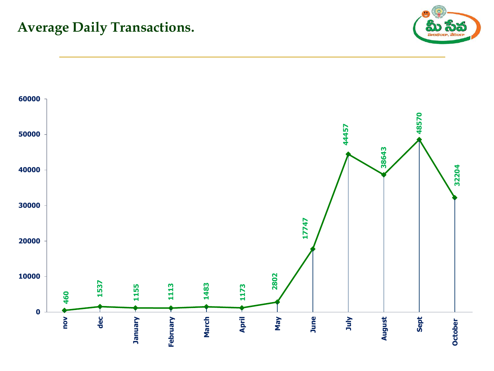#### **Average Daily Transactions.**



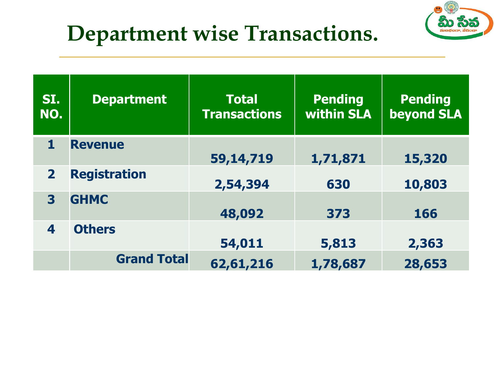



| SI.<br>NO.     | <b>Department</b>   | <b>Total</b><br><b>Transactions</b> | <b>Pending</b><br>within SLA | <b>Pending</b><br><b>beyond SLA</b> |
|----------------|---------------------|-------------------------------------|------------------------------|-------------------------------------|
|                | <b>Revenue</b>      | 59,14,719                           | 1,71,871                     | 15,320                              |
| $\overline{2}$ | <b>Registration</b> | 2,54,394                            | 630                          | 10,803                              |
| 3              | <b>GHMC</b>         | 48,092                              | 373                          | 166                                 |
| 4              | <b>Others</b>       | 54,011                              | 5,813                        | 2,363                               |
|                | <b>Grand Total</b>  | 62,61,216                           | 1,78,687                     | 28,653                              |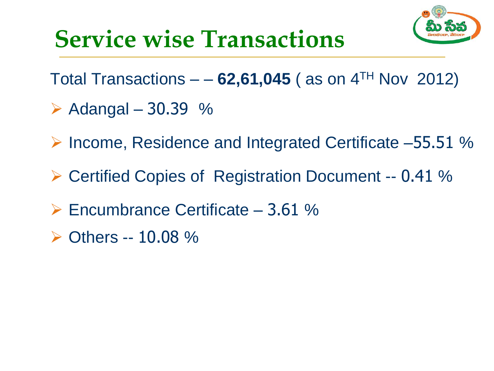

### **Service wise Transactions**

- Total Transactions  $-62,61,045$  (as on  $4<sup>TH</sup>$  Nov 2012)
- $\triangleright$  Adangal 30.39 %
- ▶ Income, Residence and Integrated Certificate –55.51 %
- ▶ Certified Copies of Registration Document -- 0.41 %
- $\triangleright$  Encumbrance Certificate 3.61 %
- $\triangleright$  Others -- 10.08 %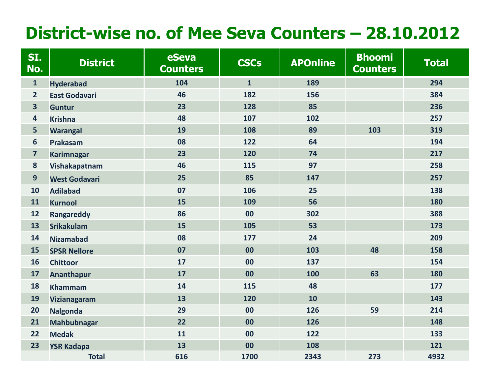### **District-wise no. of Mee Seva Counters – 28.10.2012**

| SI.<br>No.              | <b>District</b>      | eSeva<br><b>Counters</b> | <b>CSCs</b>  | <b>APOnline</b> | <b>Bhoomi</b><br><b>Counters</b> | <b>Total</b> |
|-------------------------|----------------------|--------------------------|--------------|-----------------|----------------------------------|--------------|
| $\mathbf{1}$            | <b>Hyderabad</b>     | 104                      | $\mathbf{1}$ | 189             |                                  | 294          |
| $\overline{2}$          | <b>East Godavari</b> | 46                       | 182          | 156             |                                  | 384          |
| $\overline{\mathbf{3}}$ | <b>Guntur</b>        | 23                       | 128          | 85              |                                  | 236          |
| 4                       | <b>Krishna</b>       | 48                       | 107          | 102             |                                  | 257          |
| 5                       | <b>Warangal</b>      | 19                       | 108          | 89              | 103                              | 319          |
| $6\phantom{1}$          | Prakasam             | 08                       | 122          | 64              |                                  | 194          |
| $\overline{7}$          | <b>Karimnagar</b>    | 23                       | 120          | 74              |                                  | 217          |
| 8                       | Vishakapatnam        | 46                       | 115          | 97              |                                  | 258          |
| 9                       | <b>West Godavari</b> | 25                       | 85           | 147             |                                  | 257          |
| 10                      | <b>Adilabad</b>      | 07                       | 106          | 25              |                                  | 138          |
| 11                      | <b>Kurnool</b>       | 15                       | 109          | 56              |                                  | 180          |
| 12                      | <b>Rangareddy</b>    | 86                       | 00           | 302             |                                  | 388          |
| 13                      | <b>Srikakulam</b>    | 15                       | 105          | 53              |                                  | 173          |
| 14                      | <b>Nizamabad</b>     | 08                       | 177          | 24              |                                  | 209          |
| 15                      | <b>SPSR Nellore</b>  | 07                       | 00           | 103             | 48                               | 158          |
| 16                      | <b>Chittoor</b>      | 17                       | 00           | 137             |                                  | 154          |
| 17                      | <b>Ananthapur</b>    | 17                       | 00           | 100             | 63                               | 180          |
| 18                      | <b>Khammam</b>       | 14                       | 115          | 48              |                                  | 177          |
| 19                      | <b>Vizianagaram</b>  | 13                       | 120          | 10              |                                  | 143          |
| 20                      | <b>Nalgonda</b>      | 29                       | 00           | 126             | 59                               | 214          |
| 21                      | <b>Mahbubnagar</b>   | 22                       | 00           | 126             |                                  | 148          |
| 22                      | <b>Medak</b>         | 11                       | 00           | 122             |                                  | 133          |
| 23                      | <b>YSR Kadapa</b>    | 13                       | 00           | 108             |                                  | 121          |
|                         | <b>Total</b>         | 616                      | 1700         | 2343            | 273                              | 4932         |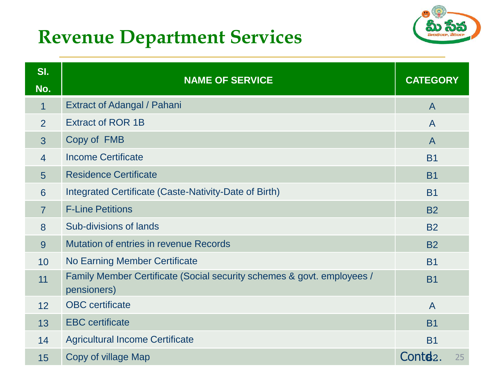### **Revenue Department Services**



| SI.<br>No.      | <b>NAME OF SERVICE</b>                                                                | <b>CATEGORY</b>      |    |
|-----------------|---------------------------------------------------------------------------------------|----------------------|----|
| $\mathbf 1$     | <b>Extract of Adangal / Pahani</b>                                                    | $\overline{A}$       |    |
| $\overline{2}$  | <b>Extract of ROR 1B</b>                                                              | $\mathsf{A}$         |    |
| 3               | Copy of FMB                                                                           | $\mathsf{A}$         |    |
| $\overline{4}$  | <b>Income Certificate</b>                                                             | <b>B1</b>            |    |
| $5\overline{)}$ | <b>Residence Certificate</b>                                                          | <b>B1</b>            |    |
| 6               | Integrated Certificate (Caste-Nativity-Date of Birth)                                 | <b>B1</b>            |    |
| $\overline{7}$  | <b>F-Line Petitions</b>                                                               | <b>B2</b>            |    |
| 8               | <b>Sub-divisions of lands</b>                                                         | <b>B2</b>            |    |
| 9               | <b>Mutation of entries in revenue Records</b>                                         | <b>B2</b>            |    |
| 10              | <b>No Earning Member Certificate</b>                                                  | <b>B1</b>            |    |
| 11              | Family Member Certificate (Social security schemes & govt. employees /<br>pensioners) | <b>B1</b>            |    |
| 12              | <b>OBC</b> certificate                                                                | $\overline{A}$       |    |
| 13              | <b>EBC</b> certificate                                                                | <b>B1</b>            |    |
| 14              | <b>Agricultural Income Certificate</b>                                                | <b>B1</b>            |    |
| 15              | Copy of village Map                                                                   | Contd <sub>2</sub> . | 25 |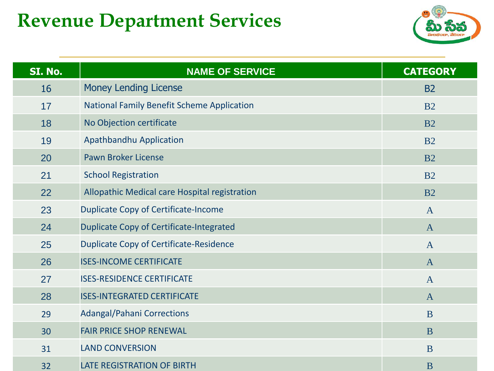### **Revenue Department Services**



| SI. No. | <b>NAME OF SERVICE</b>                            | <b>CATEGORY</b> |
|---------|---------------------------------------------------|-----------------|
| 16      | <b>Money Lending License</b>                      | <b>B2</b>       |
| 17      | <b>National Family Benefit Scheme Application</b> | B <sub>2</sub>  |
| 18      | No Objection certificate                          | B <sub>2</sub>  |
| 19      | Apathbandhu Application                           | B <sub>2</sub>  |
| 20      | <b>Pawn Broker License</b>                        | B <sub>2</sub>  |
| 21      | <b>School Registration</b>                        | B <sub>2</sub>  |
| 22      | Allopathic Medical care Hospital registration     | <b>B2</b>       |
| 23      | <b>Duplicate Copy of Certificate-Income</b>       | $\mathbf{A}$    |
| 24      | <b>Duplicate Copy of Certificate-Integrated</b>   | $\mathbf{A}$    |
| 25      | <b>Duplicate Copy of Certificate-Residence</b>    | $\mathbf{A}$    |
| 26      | <b>ISES-INCOME CERTIFICATE</b>                    | $\mathbf{A}$    |
| 27      | <b>ISES-RESIDENCE CERTIFICATE</b>                 | $\overline{A}$  |
| 28      | <b>ISES-INTEGRATED CERTIFICATE</b>                | $\mathbf{A}$    |
| 29      | <b>Adangal/Pahani Corrections</b>                 | B               |
| 30      | <b>FAIR PRICE SHOP RENEWAL</b>                    | <b>B</b>        |
| 31      | <b>LAND CONVERSION</b>                            | B               |
| 32      | <b>LATE REGISTRATION OF BIRTH</b>                 | B               |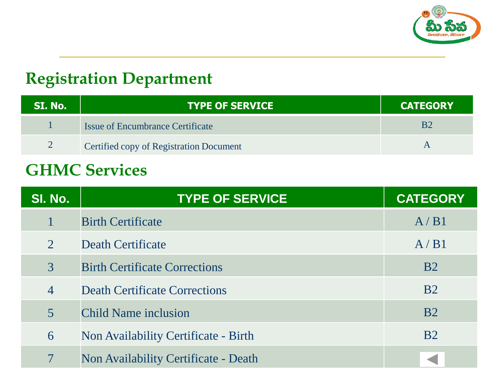

#### **Registration Department**

| SI. No. | <b>TYPE OF SERVICE</b>                         | <b>CATEGORY</b> |
|---------|------------------------------------------------|-----------------|
|         | <b>Issue of Encumbrance Certificate</b>        |                 |
|         | <b>Certified copy of Registration Document</b> |                 |

#### **GHMC Services**

| SI. No.        | <b>TYPE OF SERVICE</b>                      | <b>CATEGORY</b> |
|----------------|---------------------------------------------|-----------------|
|                | <b>Birth Certificate</b>                    | A/B1            |
| $\overline{2}$ | <b>Death Certificate</b>                    | A/B1            |
| 3              | <b>Birth Certificate Corrections</b>        | <b>B2</b>       |
| $\overline{4}$ | <b>Death Certificate Corrections</b>        | B <sub>2</sub>  |
| 5              | Child Name inclusion                        | <b>B2</b>       |
| 6              | Non Availability Certificate - Birth        | B <sub>2</sub>  |
| 7              | <b>Non Availability Certificate - Death</b> |                 |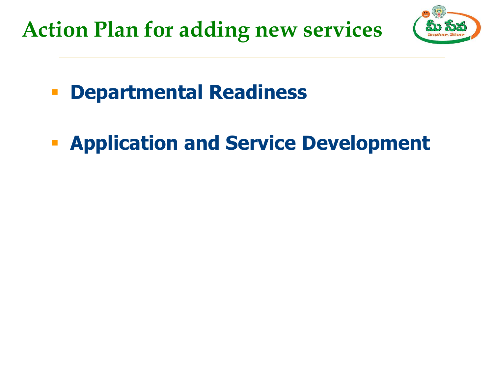**Action Plan for adding new services**



- **Departmental Readiness**
- **Application and Service Development**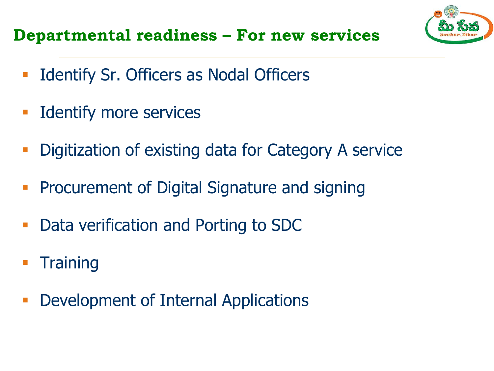**Departmental readiness – For new services**



- **-** Identify more services
- Digitization of existing data for Category A service
- **Procurement of Digital Signature and signing**
- **-** Data verification and Porting to SDC
- **Training**
- **-** Development of Internal Applications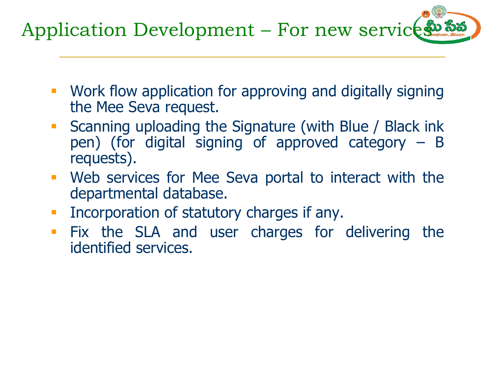Application Development – For new services:

- Work flow application for approving and digitally signing the Mee Seva request.
- **Scanning uploading the Signature (with Blue / Black ink** pen) (for digital signing of approved category – B requests).
- Web services for Mee Seva portal to interact with the departmental database.
- **Incorporation of statutory charges if any.**
- **Fix the SLA and user charges for delivering the** identified services.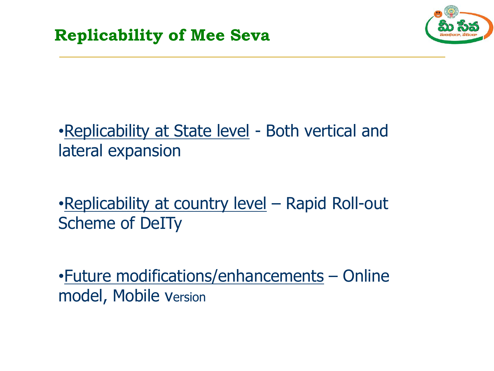

### •Replicability at State level - Both vertical and lateral expansion

•Replicability at country level – Rapid Roll-out Scheme of DeITy

•Future modifications/enhancements – Online model, Mobile version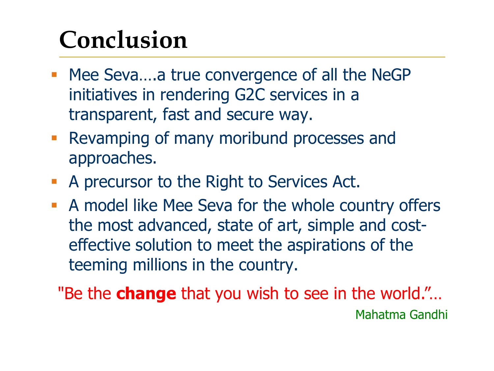### **Conclusion**

- Mee Seva....a true convergence of all the NeGP initiatives in rendering G2C services in a transparent, fast and secure way.
- **Revamping of many moribund processes and** approaches.
- A precursor to the Right to Services Act.
- A model like Mee Seva for the whole country offers the most advanced, state of art, simple and costeffective solution to meet the aspirations of the teeming millions in the country.
	- "Be the **change** that you wish to see in the world."… Mahatma Gandhi